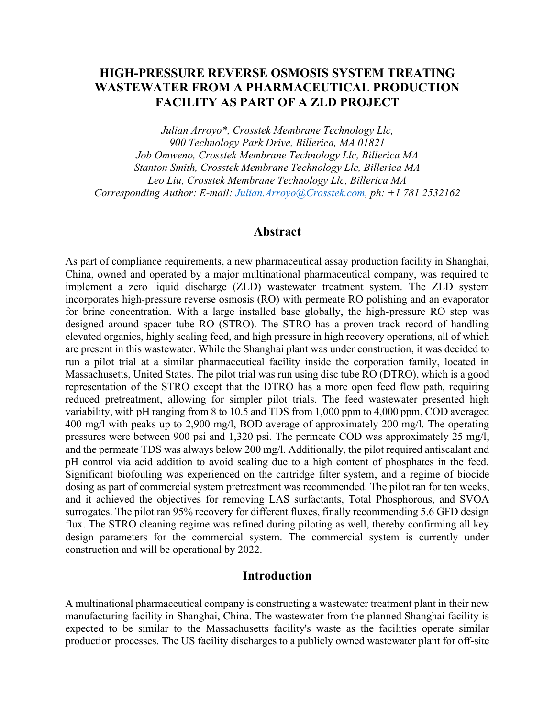# **HIGH-PRESSURE REVERSE OSMOSIS SYSTEM TREATING WASTEWATER FROM A PHARMACEUTICAL PRODUCTION FACILITY AS PART OF A ZLD PROJECT**

*Julian Arroyo\*, Crosstek Membrane Technology Llc, 900 Technology Park Drive, Billerica, MA 01821 Job Omweno, Crosstek Membrane Technology Llc, Billerica MA Stanton Smith, Crosstek Membrane Technology Llc, Billerica MA Leo Liu, Crosstek Membrane Technology Llc, Billerica MA Corresponding Author: E-mail: [Julian.Arroyo@Crosstek.com,](mailto:Julian.Arroyo@Crosstek.com) ph: +1 781 2532162*

#### **Abstract**

As part of compliance requirements, a new pharmaceutical assay production facility in Shanghai, China, owned and operated by a major multinational pharmaceutical company, was required to implement a zero liquid discharge (ZLD) wastewater treatment system. The ZLD system incorporates high-pressure reverse osmosis (RO) with permeate RO polishing and an evaporator for brine concentration. With a large installed base globally, the high-pressure RO step was designed around spacer tube RO (STRO). The STRO has a proven track record of handling elevated organics, highly scaling feed, and high pressure in high recovery operations, all of which are present in this wastewater. While the Shanghai plant was under construction, it was decided to run a pilot trial at a similar pharmaceutical facility inside the corporation family, located in Massachusetts, United States. The pilot trial was run using disc tube RO (DTRO), which is a good representation of the STRO except that the DTRO has a more open feed flow path, requiring reduced pretreatment, allowing for simpler pilot trials. The feed wastewater presented high variability, with pH ranging from 8 to 10.5 and TDS from 1,000 ppm to 4,000 ppm, COD averaged 400 mg/l with peaks up to 2,900 mg/l, BOD average of approximately 200 mg/l. The operating pressures were between 900 psi and 1,320 psi. The permeate COD was approximately 25 mg/l, and the permeate TDS was always below 200 mg/l. Additionally, the pilot required antiscalant and pH control via acid addition to avoid scaling due to a high content of phosphates in the feed. Significant biofouling was experienced on the cartridge filter system, and a regime of biocide dosing as part of commercial system pretreatment was recommended. The pilot ran for ten weeks, and it achieved the objectives for removing LAS surfactants, Total Phosphorous, and SVOA surrogates. The pilot ran 95% recovery for different fluxes, finally recommending 5.6 GFD design flux. The STRO cleaning regime was refined during piloting as well, thereby confirming all key design parameters for the commercial system. The commercial system is currently under construction and will be operational by 2022.

# **Introduction**

A multinational pharmaceutical company is constructing a wastewater treatment plant in their new manufacturing facility in Shanghai, China. The wastewater from the planned Shanghai facility is expected to be similar to the Massachusetts facility's waste as the facilities operate similar production processes. The US facility discharges to a publicly owned wastewater plant for off-site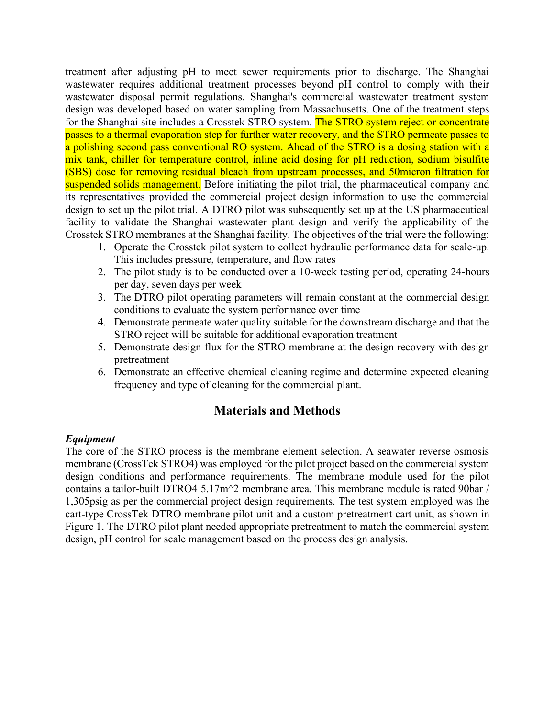treatment after adjusting pH to meet sewer requirements prior to discharge. The Shanghai wastewater requires additional treatment processes beyond pH control to comply with their wastewater disposal permit regulations. Shanghai's commercial wastewater treatment system design was developed based on water sampling from Massachusetts. One of the treatment steps for the Shanghai site includes a Crosstek STRO system. The STRO system reject or concentrate passes to a thermal evaporation step for further water recovery, and the STRO permeate passes to a polishing second pass conventional RO system. Ahead of the STRO is a dosing station with a mix tank, chiller for temperature control, inline acid dosing for pH reduction, sodium bisulfite (SBS) dose for removing residual bleach from upstream processes, and 50micron filtration for suspended solids management. Before initiating the pilot trial, the pharmaceutical company and its representatives provided the commercial project design information to use the commercial design to set up the pilot trial. A DTRO pilot was subsequently set up at the US pharmaceutical facility to validate the Shanghai wastewater plant design and verify the applicability of the Crosstek STRO membranes at the Shanghai facility. The objectives of the trial were the following:

- 1. Operate the Crosstek pilot system to collect hydraulic performance data for scale-up. This includes pressure, temperature, and flow rates
- 2. The pilot study is to be conducted over a 10-week testing period, operating 24-hours per day, seven days per week
- 3. The DTRO pilot operating parameters will remain constant at the commercial design conditions to evaluate the system performance over time
- 4. Demonstrate permeate water quality suitable for the downstream discharge and that the STRO reject will be suitable for additional evaporation treatment
- 5. Demonstrate design flux for the STRO membrane at the design recovery with design pretreatment
- 6. Demonstrate an effective chemical cleaning regime and determine expected cleaning frequency and type of cleaning for the commercial plant.

# **Materials and Methods**

## *Equipment*

The core of the STRO process is the membrane element selection. A seawater reverse osmosis membrane (CrossTek STRO4) was employed for the pilot project based on the commercial system design conditions and performance requirements. The membrane module used for the pilot contains a tailor-built DTRO4 5.17m^2 membrane area. This membrane module is rated 90bar / 1,305psig as per the commercial project design requirements. The test system employed was the cart-type CrossTek DTRO membrane pilot unit and a custom pretreatment cart unit, as shown in Figure 1. The DTRO pilot plant needed appropriate pretreatment to match the commercial system design, pH control for scale management based on the process design analysis.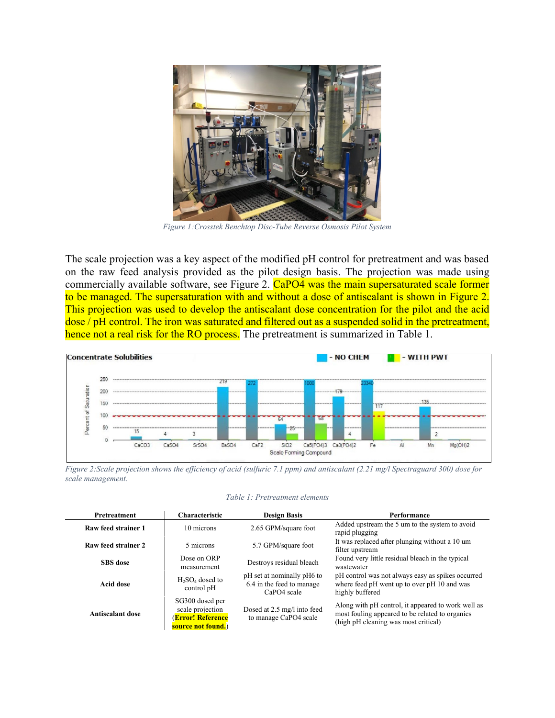

*Figure 1:Crosstek Benchtop Disc-Tube Reverse Osmosis Pilot System*

The scale projection was a key aspect of the modified pH control for pretreatment and was based on the raw feed analysis provided as the pilot design basis. The projection was made using commercially available software, see Figure 2. CaPO4 was the main supersaturated scale former to be managed. The supersaturation with and without a dose of antiscalant is shown in Figure 2. This projection was used to develop the antiscalant dose concentration for the pilot and the acid dose / pH control. The iron was saturated and filtered out as a suspended solid in the pretreatment, hence not a real risk for the RO process. The pretreatment is summarized in Table 1.



*Figure 2:Scale projection shows the efficiency of acid (sulfuric 7.1 ppm) and antiscalant (2.21 mg/l Spectraguard 300) dose for scale management.*

| <b>Pretreatment</b> | <b>Characteristic</b>                                                          | <b>Design Basis</b>                                                    | Performance                                                                                                                                   |
|---------------------|--------------------------------------------------------------------------------|------------------------------------------------------------------------|-----------------------------------------------------------------------------------------------------------------------------------------------|
| Raw feed strainer 1 | 10 microns                                                                     | 2.65 GPM/square foot                                                   | Added upstream the 5 um to the system to avoid<br>rapid plugging                                                                              |
| Raw feed strainer 2 | 5 microns                                                                      | 5.7 GPM/square foot                                                    | It was replaced after plunging without a 10 um<br>filter upstream                                                                             |
| <b>SBS</b> dose     | Dose on ORP<br>measurement                                                     | Destroys residual bleach                                               | Found very little residual bleach in the typical<br>wastewater                                                                                |
| Acid dose           | $H_2SO_4$ dosed to<br>control pH                                               | pH set at nominally pH6 to<br>6.4 in the feed to manage<br>CaPO4 scale | pH control was not always easy as spikes occurred<br>where feed pH went up to over pH 10 and was<br>highly buffered                           |
| Antiscalant dose    | SG300 dosed per<br>scale projection<br>(Error! Reference<br>source not found.) | Dosed at 2.5 mg/l into feed<br>to manage CaPO4 scale                   | Along with pH control, it appeared to work well as<br>most fouling appeared to be related to organics<br>(high pH cleaning was most critical) |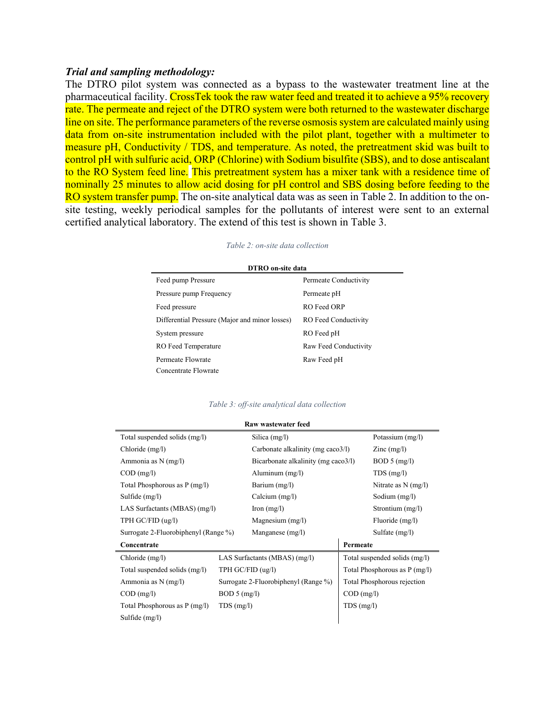#### *Trial and sampling methodology:*

The DTRO pilot system was connected as a bypass to the wastewater treatment line at the pharmaceutical facility. CrossTek took the raw water feed and treated it to achieve a 95% recovery rate. The permeate and reject of the DTRO system were both returned to the wastewater discharge line on site. The performance parameters of the reverse osmosis system are calculated mainly using data from on-site instrumentation included with the pilot plant, together with a multimeter to measure pH, Conductivity / TDS, and temperature. As noted, the pretreatment skid was built to control pH with sulfuric acid, ORP (Chlorine) with Sodium bisulfite (SBS), and to dose antiscalant to the RO System feed line. This pretreatment system has a mixer tank with a residence time of nominally 25 minutes to allow acid dosing for pH control and SBS dosing before feeding to the RO system transfer pump. The on-site analytical data was as seen in Table 2. In addition to the onsite testing, weekly periodical samples for the pollutants of interest were sent to an external certified analytical laboratory. The extend of this test is shown in Table 3.

#### *Table 2: on-site data collection*

| <b>DTRO</b> on-site data                       |                       |  |  |  |  |  |
|------------------------------------------------|-----------------------|--|--|--|--|--|
| Feed pump Pressure                             | Permeate Conductivity |  |  |  |  |  |
| Pressure pump Frequency                        | Permeate pH           |  |  |  |  |  |
| Feed pressure                                  | RO Feed ORP           |  |  |  |  |  |
| Differential Pressure (Major and minor losses) | RO Feed Conductivity  |  |  |  |  |  |
| System pressure                                | RO Feed pH            |  |  |  |  |  |
| RO Feed Temperature                            | Raw Feed Conductivity |  |  |  |  |  |
| Permeate Flowrate                              | Raw Feed pH           |  |  |  |  |  |
| Concentrate Flowrate                           |                       |  |  |  |  |  |

#### *Table 3: off-site analytical data collection*

| Raw wastewater feed                                |              |                                      |              |                               |  |  |
|----------------------------------------------------|--------------|--------------------------------------|--------------|-------------------------------|--|--|
| Total suspended solids (mg/l)                      |              | Silica $(mg/l)$                      |              | Potassium (mg/l)              |  |  |
| Chloride (mg/l)                                    |              | Carbonate alkalinity (mg caco3/l)    |              | $\text{Zinc} \text{ (mg/l)}$  |  |  |
| Ammonia as N (mg/l)                                |              | Bicarbonate alkalinity (mg caco3/l)  |              | BOD 5 (mg/l)                  |  |  |
| $COD$ (mg/l)                                       |              | Aluminum $(mg/l)$                    |              | TDS(mg/l)                     |  |  |
| Total Phosphorous as P (mg/l)                      |              | Barium (mg/l)                        |              | Nitrate as $N$ (mg/l)         |  |  |
| Sulfide $(mg/l)$                                   |              | Calcium $(mg/l)$                     |              | Sodium (mg/l)                 |  |  |
| LAS Surfactants (MBAS) (mg/l)                      |              | $\text{Iron (mg/l)}$                 |              | Strontium (mg/l)              |  |  |
| TPH G C/FID (ug/l)                                 |              | Magnesium $(mg/l)$                   |              | Fluoride (mg/l)               |  |  |
| Surrogate 2-Fluorobiphenyl (Range %)               |              | Manganese $(mg/l)$                   |              | Sulfate (mg/l)                |  |  |
| Concentrate                                        |              |                                      | Permeate     |                               |  |  |
| Chloride (mg/l)                                    |              | LAS Surfactants (MBAS) (mg/l)        |              | Total suspended solids (mg/l) |  |  |
| TPH GC/FID (ug/l)<br>Total suspended solids (mg/l) |              |                                      |              | Total Phosphorous as P (mg/l) |  |  |
| Ammonia as N (mg/l)                                |              | Surrogate 2-Fluorobiphenyl (Range %) |              | Total Phosphorous rejection   |  |  |
| $COD$ (mg/l)                                       | BOD 5 (mg/l) |                                      | $COD$ (mg/l) |                               |  |  |
| Total Phosphorous as P (mg/l)<br>$TDS$ (mg/l)      |              |                                      | $TDS$ (mg/l) |                               |  |  |
| Sulfide (mg/l)                                     |              |                                      |              |                               |  |  |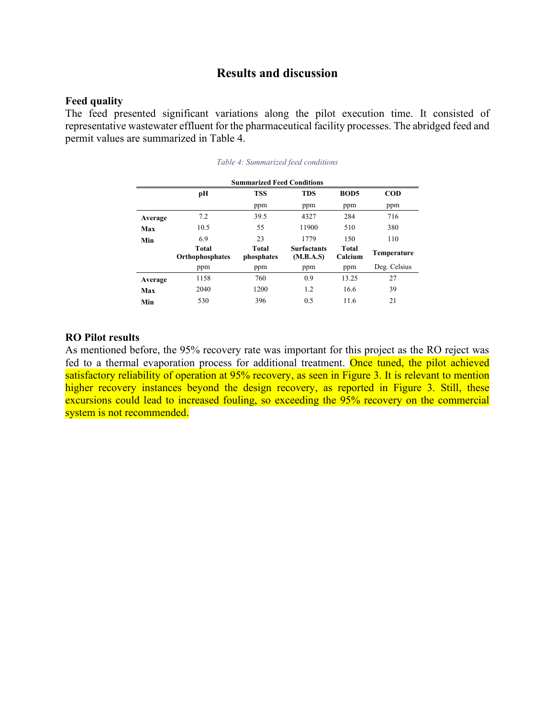### **Results and discussion**

#### **Feed quality**

The feed presented significant variations along the pilot execution time. It consisted of representative wastewater effluent for the pharmaceutical facility processes. The abridged feed and permit values are summarized in Table 4.

| <b>Summarized Feed Conditions</b> |                          |                     |                                 |                  |              |  |
|-----------------------------------|--------------------------|---------------------|---------------------------------|------------------|--------------|--|
|                                   | рH                       | <b>TSS</b>          | <b>TDS</b>                      | BOD <sub>5</sub> | <b>COD</b>   |  |
|                                   |                          | ppm                 | ppm                             | ppm              | ppm          |  |
| Average                           | 7.2                      | 39.5                | 4327                            | 284              | 716          |  |
| Max                               | 10.5                     | 55                  | 11900                           | 510              | 380          |  |
| Min                               | 6.9                      | 23                  | 1779                            | 150              | 110          |  |
|                                   | Total<br>Orthophosphates | Total<br>phosphates | <b>Surfactants</b><br>(M.B.A.S) | Total<br>Calcium | Temperature  |  |
|                                   | ppm                      | ppm                 | ppm                             | ppm              | Deg. Celsius |  |
| Average                           | 1158                     | 760                 | 0.9                             | 13.25            | 27           |  |
| Max                               | 2040                     | 1200                | 1.2                             | 16.6             | 39           |  |
| Min                               | 530                      | 396                 | 0.5                             | 11.6             | 21           |  |

|  | Table 4: Summarized feed conditions |
|--|-------------------------------------|
|  |                                     |

#### **RO Pilot results**

As mentioned before, the 95% recovery rate was important for this project as the RO reject was fed to a thermal evaporation process for additional treatment. Once tuned, the pilot achieved satisfactory reliability of operation at 95% recovery, as seen in Figure 3. It is relevant to mention higher recovery instances beyond the design recovery, as reported in Figure 3. Still, these excursions could lead to increased fouling, so exceeding the 95% recovery on the commercial system is not recommended.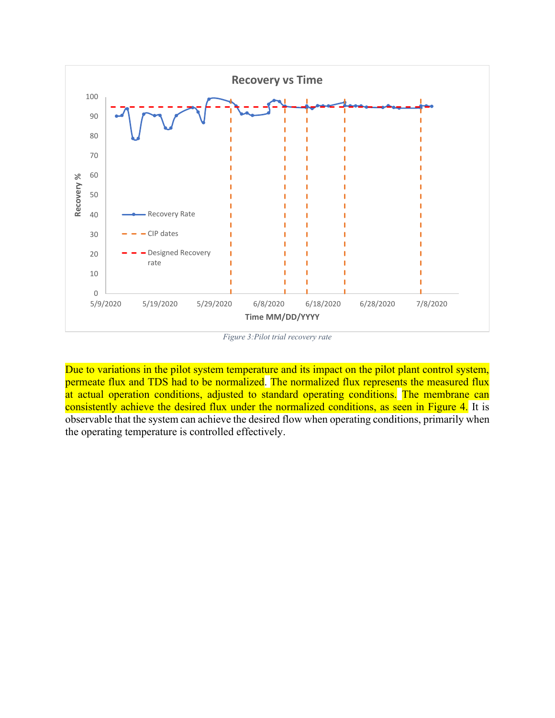

*Figure 3:Pilot trial recovery rate*

Due to variations in the pilot system temperature and its impact on the pilot plant control system, permeate flux and TDS had to be normalized. The normalized flux represents the measured flux at actual operation conditions, adjusted to standard operating conditions. The membrane can consistently achieve the desired flux under the normalized conditions, as seen in Figure 4. It is observable that the system can achieve the desired flow when operating conditions, primarily when the operating temperature is controlled effectively.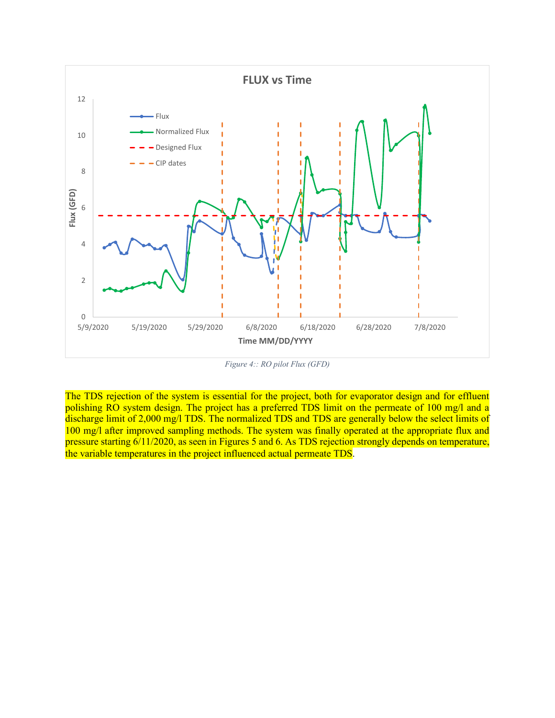

*Figure 4:: RO pilot Flux (GFD)*

The TDS rejection of the system is essential for the project, both for evaporator design and for effluent polishing RO system design. The project has a preferred TDS limit on the permeate of 100 mg/l and a discharge limit of 2,000 mg/l TDS. The normalized TDS and TDS are generally below the select limits of 100 mg/l after improved sampling methods. The system was finally operated at the appropriate flux and pressure starting 6/11/2020, as seen in Figures 5 and 6. As TDS rejection strongly depends on temperature, the variable temperatures in the project influenced actual permeate TDS.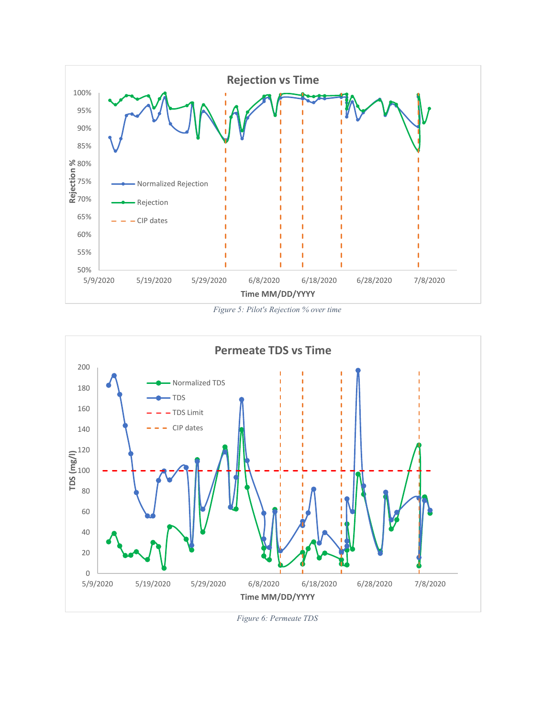

*Figure 5: Pilot's Rejection % over time*



*Figure 6: Permeate TDS*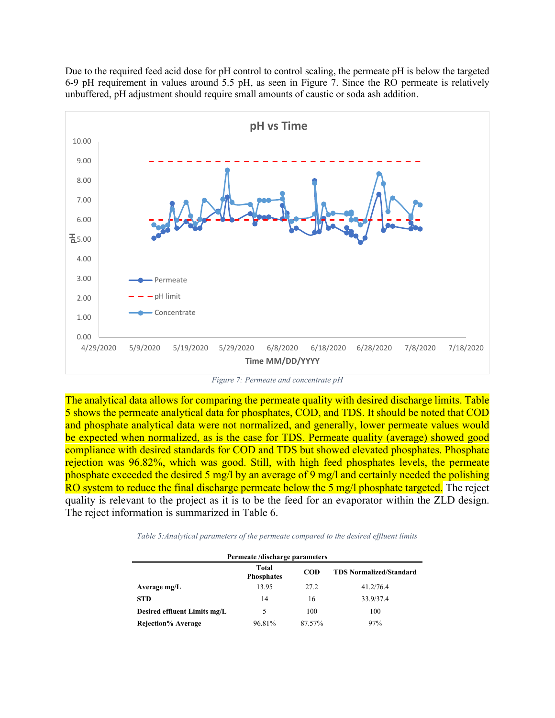Due to the required feed acid dose for pH control to control scaling, the permeate pH is below the targeted 6-9 pH requirement in values around 5.5 pH, as seen in Figure 7. Since the RO permeate is relatively unbuffered, pH adjustment should require small amounts of caustic or soda ash addition.



*Figure 7: Permeate and concentrate pH*

The analytical data allows for comparing the permeate quality with desired discharge limits. Table 5 shows the permeate analytical data for phosphates, COD, and TDS. It should be noted that COD and phosphate analytical data were not normalized, and generally, lower permeate values would be expected when normalized, as is the case for TDS. Permeate quality (average) showed good compliance with desired standards for COD and TDS but showed elevated phosphates. Phosphate rejection was 96.82%, which was good. Still, with high feed phosphates levels, the permeate phosphate exceeded the desired 5 mg/l by an average of 9 mg/l and certainly needed the polishing RO system to reduce the final discharge permeate below the 5 mg/l phosphate targeted. The reject quality is relevant to the project as it is to be the feed for an evaporator within the ZLD design. The reject information is summarized in Table 6.

*Table 5:Analytical parameters of the permeate compared to the desired effluent limits*

| Permeate/discharge parameters |                            |            |                                |  |  |
|-------------------------------|----------------------------|------------|--------------------------------|--|--|
|                               | Total<br><b>Phosphates</b> | <b>COD</b> | <b>TDS Normalized/Standard</b> |  |  |
| Average mg/L                  | 13.95                      | 27.2       | 41.2/76.4                      |  |  |
| <b>STD</b>                    | 14                         | 16         | 33.9/37.4                      |  |  |
| Desired effluent Limits mg/L  | 5                          | 100        | 100                            |  |  |
| <b>Rejection% Average</b>     | 96.81%                     | 87.57%     | 97%                            |  |  |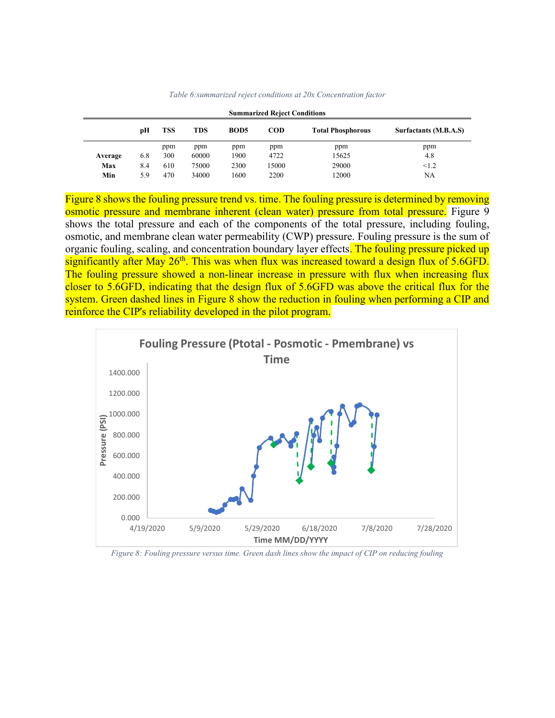| <b>Summarized Reject Conditions</b> |     |            |            |             |            |                          |                       |
|-------------------------------------|-----|------------|------------|-------------|------------|--------------------------|-----------------------|
|                                     | рH  | <b>TSS</b> | <b>TDS</b> | <b>BOD5</b> | <b>COD</b> | <b>Total Phosphorous</b> | Surfactants (M.B.A.S) |
|                                     |     | ppm        | ppm        | ppm         | ppm        | ppm                      | ppm                   |
| Average                             | 6.8 | 300        | 60000      | 1900        | 4722       | 15625                    | 4.8                   |
| Max                                 | 8.4 | 610        | 75000      | 2300        | 15000      | 29000                    | < 1.2                 |
| Min                                 | 5.9 | 470        | 34000      | 1600        | 2200       | 12000                    | NA                    |

*Table 6:summarized reject conditions at 20x Concentration factor*

Figure 8 shows the fouling pressure trend vs. time. The fouling pressure is determined by removing osmotic pressure and membrane inherent (clean water) pressure from total pressure. Figure 9 shows the total pressure and each of the components of the total pressure, including fouling, osmotic, and membrane clean water permeability (CWP) pressure. Fouling pressure is the sum of organic fouling, scaling, and concentration boundary layer effects. The fouling pressure picked up significantly after May  $26<sup>th</sup>$ . This was when flux was increased toward a design flux of 5.6GFD. The fouling pressure showed a non-linear increase in pressure with flux when increasing flux closer to 5.6GFD, indicating that the design flux of 5.6GFD was above the critical flux for the system. Green dashed lines in Figure 8 show the reduction in fouling when performing a CIP and reinforce the CIP's reliability developed in the pilot program.



*Figure 8: Fouling pressure versus time. Green dash lines show the impact of CIP on reducing fouling*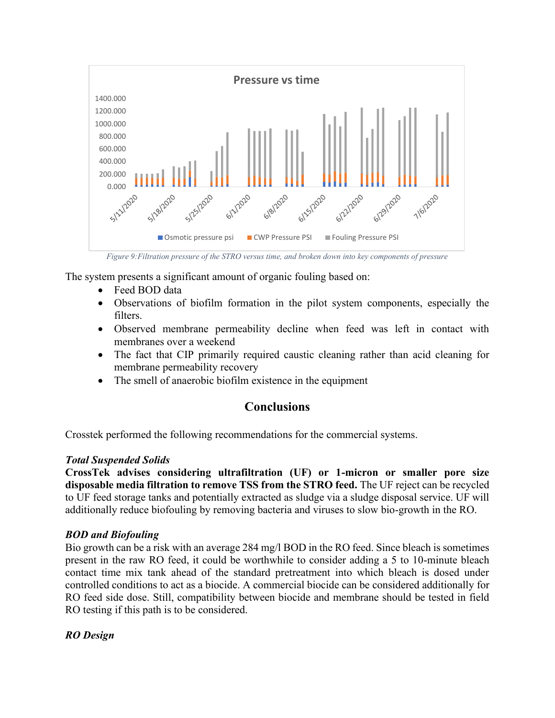

*Figure 9:Filtration pressure of the STRO versus time, and broken down into key components of pressure*

The system presents a significant amount of organic fouling based on:

- Feed BOD data
- Observations of biofilm formation in the pilot system components, especially the filters.
- Observed membrane permeability decline when feed was left in contact with membranes over a weekend
- The fact that CIP primarily required caustic cleaning rather than acid cleaning for membrane permeability recovery
- The smell of anaerobic biofilm existence in the equipment

# **Conclusions**

Crosstek performed the following recommendations for the commercial systems.

#### *Total Suspended Solids*

**CrossTek advises considering ultrafiltration (UF) or 1-micron or smaller pore size disposable media filtration to remove TSS from the STRO feed.** The UF reject can be recycled to UF feed storage tanks and potentially extracted as sludge via a sludge disposal service. UF will additionally reduce biofouling by removing bacteria and viruses to slow bio-growth in the RO.

## *BOD and Biofouling*

Bio growth can be a risk with an average 284 mg/l BOD in the RO feed. Since bleach is sometimes present in the raw RO feed, it could be worthwhile to consider adding a 5 to 10-minute bleach contact time mix tank ahead of the standard pretreatment into which bleach is dosed under controlled conditions to act as a biocide. A commercial biocide can be considered additionally for RO feed side dose. Still, compatibility between biocide and membrane should be tested in field RO testing if this path is to be considered.

*RO Design*